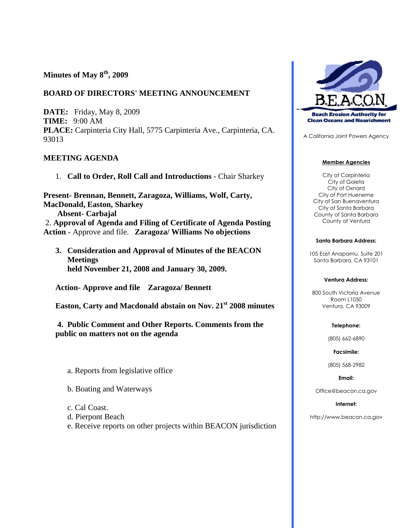# **Minutes of May 8th, 2009**

### **BOARD OF DIRECTORS' MEETING ANNOUNCEMENT**

**DATE:** Friday, May 8, 2009 **TIME:** 9:00 AM **PLACE:** Carpinteria City Hall, 5775 Carpinteria Ave., Carpinteria, CA. 93013

### **MEETING AGENDA**

1. **Call to Order, Roll Call and Introductions** - Chair Sharkey

**Present- Brennan, Bennett, Zaragoza, Williams, Wolf, Carty, MacDonald, Easton, Sharkey Absent- Carbajal** 2. **Approval of Agenda and Filing of Certificate of Agenda Posting**

- **Action** Approve and file. **Zaragoza/ Williams No objections**
	- **3. Consideration and Approval of Minutes of the BEACON Meetings held November 21, 2008 and January 30, 2009.**

**Action- Approve and file Zaragoza/ Bennett**

**Easton, Carty and Macdonald abstain on Nov. 21st 2008 minutes**

**4. Public Comment and Other Reports. Comments from the public on matters not on the agenda**

- a. Reports from legislative office
- b. Boating and Waterways
- c. Cal Coast.
- d. Pierpont Beach
- e. Receive reports on other projects within BEACON jurisdiction



A California Joint Powers Agency

### **Member Agencies**

City of Carpinteria City of Goleta City of Oxnard City of Port Hueneme City of San Buenaventura City of Santa Barbara County of Santa Barbara County of Ventura

#### **Santa Barbara Address:**

105 East Anapamu, Suite 201 Santa Barbara, CA 93101

#### **Ventura Address:**

800 South Victoria Avenue Room L1050 Ventura, CA 93009

#### **Telephone:**

(805) 662-6890

### **Facsimile:**

(805) 568-2982

**Email:**

Office@beacon.ca.gov

### **Internet:**

http://www.beacon.ca.gov